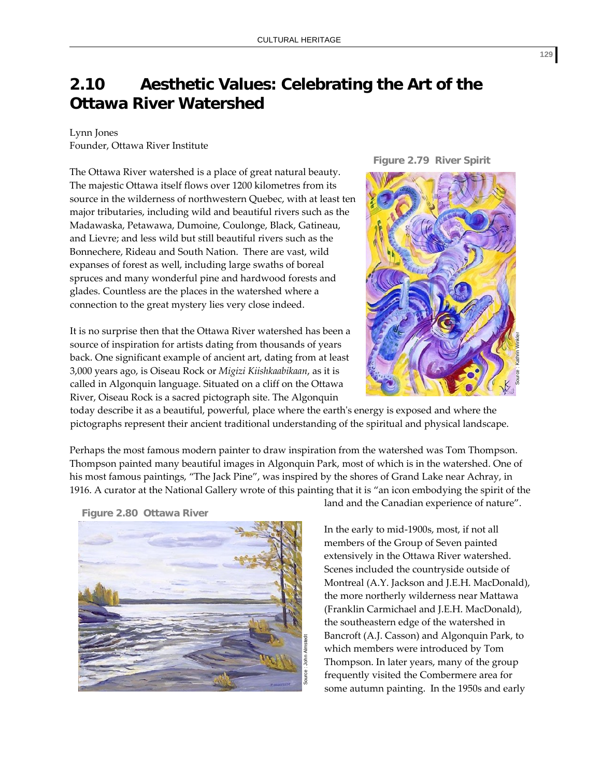## **2.10 Aesthetic Values: Celebrating the Art of the Ottawa River Watershed**

## Lynn Jones

Founder, Ottawa River Institute

The Ottawa River watershed is a place of great natural beauty. The majestic Ottawa itself flows over 1200 kilometres from its source in the wilderness of northwestern Quebec, with at least ten major tributaries, including wild and beautiful rivers such as the Madawaska, Petawawa, Dumoine, Coulonge, Black, Gatineau, and Lievre; and less wild but still beautiful rivers such as the Bonnechere, Rideau and South Nation. There are vast, wild expanses of forest as well, including large swaths of boreal spruces and many wonderful pine and hardwood forests and glades. Countless are the places in the watershed where a connection to the great mystery lies very close indeed.

It is no surprise then that the Ottawa River watershed has been a source of inspiration for artists dating from thousands of years back. One significant example of ancient art, dating from at least 3,000 years ago, is Oiseau Rock or *Migizi Kiishkaabikaan*, as it is called in Algonquin language. Situated on a cliff on the Ottawa River, Oiseau Rock is a sacred pictograph site. The Algonquin

**Figure 2.79 River Spirit**



today describe it as a beautiful, powerful, place where the earth's energy is exposed and where the pictographs represent their ancient traditional understanding of the spiritual and physical landscape.

Perhaps the most famous modern painter to draw inspiration from the watershed was Tom Thompson. Thompson painted many beautiful images in Algonquin Park, most of which is in the watershed. One of his most famous paintings, "The Jack Pine", was inspired by the shores of Grand Lake near Achray, in 1916. A curator at the National Gallery wrote of this painting that it is "an icon embodying the spirit of the

**Figure 2.80 Ottawa River**



land and the Canadian experience of nature".

In the early to mid‐1900s, most, if not all members of the Group of Seven painted extensively in the Ottawa River watershed. Scenes included the countryside outside of Montreal (A.Y. Jackson and J.E.H. MacDonald), the more northerly wilderness near Mattawa (Franklin Carmichael and J.E.H. MacDonald), the southeastern edge of the watershed in Bancroft (A.J. Casson) and Algonquin Park, to which members were introduced by Tom Thompson. In later years, many of the group frequently visited the Combermere area for some autumn painting. In the 1950s and early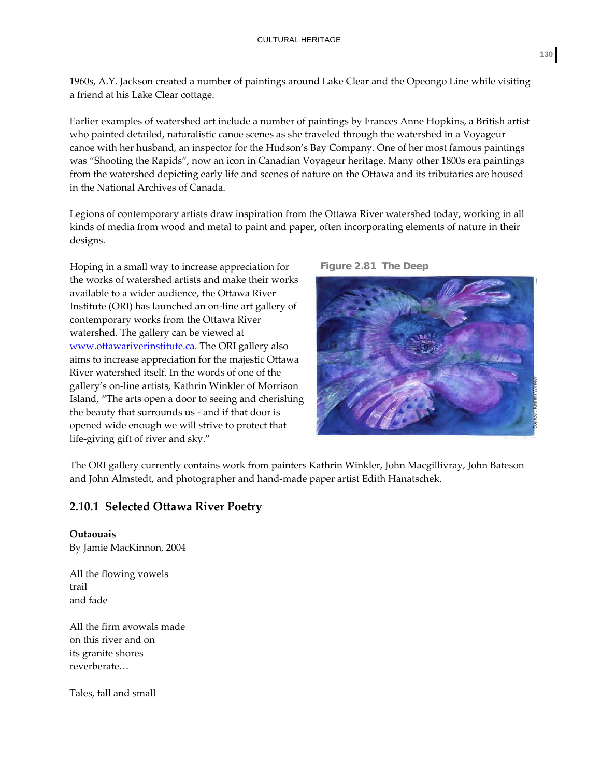1960s, A.Y. Jackson created a number of paintings around Lake Clear and the Opeongo Line while visiting a friend at his Lake Clear cottage.

Earlier examples of watershed art include a number of paintings by Frances Anne Hopkins, a British artist who painted detailed, naturalistic canoe scenes as she traveled through the watershed in a Voyageur canoe with her husband, an inspector for the Hudson's Bay Company. One of her most famous paintings was "Shooting the Rapids", now an icon in Canadian Voyageur heritage. Many other 1800s era paintings from the watershed depicting early life and scenes of nature on the Ottawa and its tributaries are housed in the National Archives of Canada.

Legions of contemporary artists draw inspiration from the Ottawa River watershed today, working in all kinds of media from wood and metal to paint and paper, often incorporating elements of nature in their designs.

Hoping in a small way to increase appreciation for the works of watershed artists and make their works available to a wider audience, the Ottawa River Institute (ORI) has launched an on‐line art gallery of contemporary works from the Ottawa River watershed. The gallery can be viewed at [www.ottawariverinstitute.ca](http://www.ottawariverinstitute.ca/). The ORI gallery also aims to increase appreciation for the majestic Ottawa River watershed itself. In the words of one of the gallery's on‐line artists, Kathrin Winkler of Morrison Island, "The arts open a door to seeing and cherishing the beauty that surrounds us ‐ and if that door is opened wide enough we will strive to protect that life‐giving gift of river and sky."





The ORI gallery currently contains work from painters Kathrin Winkler, John Macgillivray, John Bateson and John Almstedt, and photographer and hand‐made paper artist Edith Hanatschek.

## **2.10.1 Selected Ottawa River Poetry**

**Outaouais** By Jamie MacKinnon, 2004

All the flowing vowels trail and fade

All the firm avowals made on this river and on its granite shores reverberate…

Tales, tall and small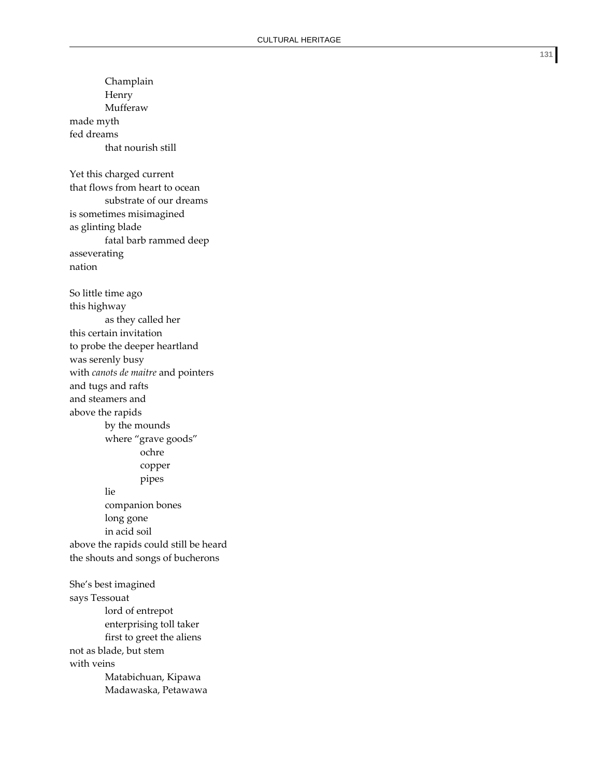Champlain Henry Mufferaw made myth fed dreams that nourish still Yet this charged current that flows from heart to ocean substrate of our dreams is sometimes misimagined as glinting blade fatal barb rammed deep asseverating nation So little time ago this highway as they called her this certain invitation to probe the deeper heartland was serenly busy with *canots de maitre* and pointers and tugs and rafts and steamers and above the rapids by the mounds where "grave goods" ochre copper pipes lie companion bones long gone in acid soil above the rapids could still be heard the shouts and songs of bucherons She's best imagined says Tessouat lord of entrepot enterprising toll taker first to greet the aliens not as blade, but stem with veins

Matabichuan, Kipawa Madawaska, Petawawa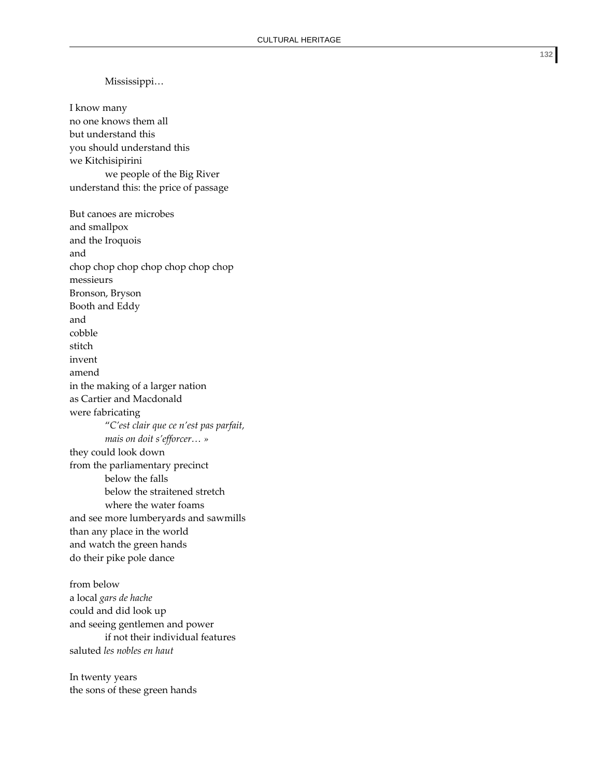Mississippi… I know many no one knows them all but understand this you should understand this we Kitchisipirini we people of the Big River understand this: the price of passage But canoes are microbes and smallpox and the Iroquois and chop chop chop chop chop chop chop messieurs Bronson, Bryson Booth and Eddy and cobble stitch invent amend in the making of a larger nation as Cartier and Macdonald were fabricating "*C'est clair que ce n'est pas parfait, mais on doit s'efforcer… »* they could look down from the parliamentary precinct below the falls below the straitened stretch where the water foams and see more lumberyards and sawmills than any place in the world and watch the green hands do their pike pole dance from below a local *gars de hache* could and did look up and seeing gentlemen and power if not their individual features saluted *les nobles en haut* In twenty years

the sons of these green hands

**132**